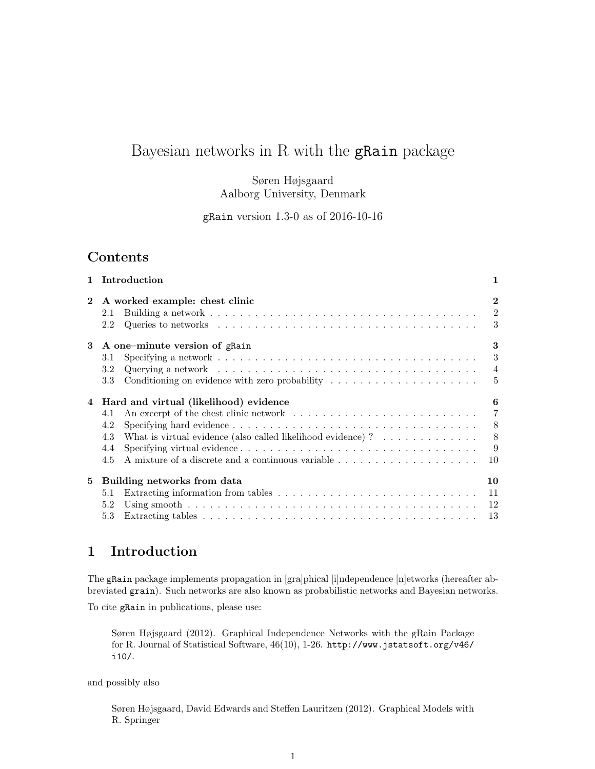# Bayesian networks in R with the gRain package

Søren Højsgaard Aalborg University, Denmark

gRain version 1.3-0 as of 2016-10-16

## Contents

| $\mathbf{1}$ | Introduction                                                                                                                                                                                                                 | 1                                                               |
|--------------|------------------------------------------------------------------------------------------------------------------------------------------------------------------------------------------------------------------------------|-----------------------------------------------------------------|
| $\mathbf{2}$ | A worked example: chest clinic<br>2.1<br>2.2                                                                                                                                                                                 | $\mathbf{2}$<br>$\overline{2}$<br>3                             |
| 3            | A one-minute version of grain<br>3.1<br>3.2<br>Conditioning on evidence with zero probability $\dots \dots \dots \dots \dots \dots \dots$<br>3.3                                                                             | 3<br>3<br>$\overline{4}$<br>$\frac{5}{2}$                       |
| 4            | Hard and virtual (likelihood) evidence<br>4.1<br>4.2<br>What is virtual evidence (also called likelihood evidence) ? $\ldots \ldots \ldots \ldots$<br>4.3<br>4.4<br>A mixture of a discrete and a continuous variable<br>4.5 | 6<br>$\overline{7}$<br>8 <sup>8</sup><br>$\,$ 8 $\,$<br>9<br>10 |
| 5            | Building networks from data<br>5.1<br>5.2<br>5.3                                                                                                                                                                             | 10<br>11<br>12<br>13                                            |

# 1 Introduction

The gRain package implements propagation in [gra]phical [i]ndependence [n]etworks (hereafter abbreviated grain). Such networks are also known as probabilistic networks and Bayesian networks.

To cite gRain in publications, please use:

Søren Højsgaard (2012). Graphical Independence Networks with the gRain Package for R. Journal of Statistical Software, 46(10), 1-26. http://www.jstatsoft.org/v46/ i10/.

and possibly also

Søren Højsgaard, David Edwards and Steffen Lauritzen (2012). Graphical Models with R. Springer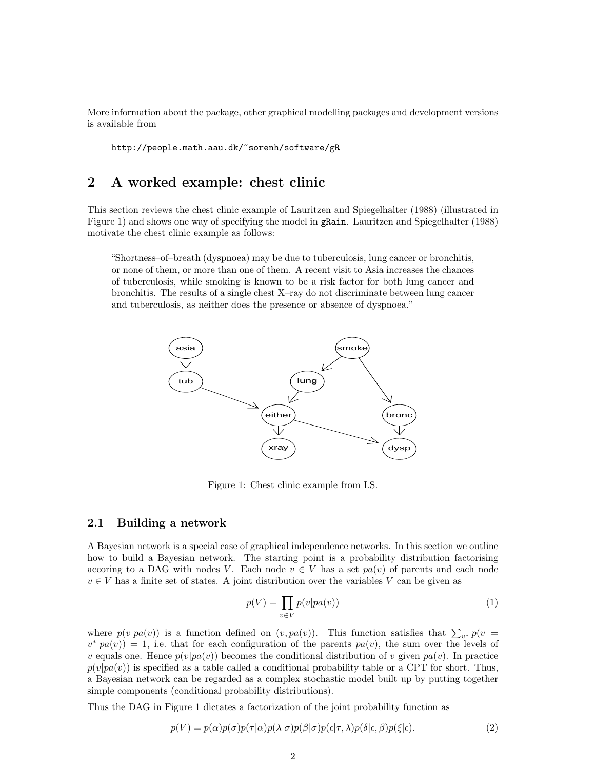More information about the package, other graphical modelling packages and development versions is available from

http://people.math.aau.dk/~sorenh/software/gR

## 2 A worked example: chest clinic

This section reviews the chest clinic example of Lauritzen and Spiegelhalter (1988) (illustrated in Figure 1) and shows one way of specifying the model in gRain. Lauritzen and Spiegelhalter (1988) motivate the chest clinic example as follows:

"Shortness–of–breath (dyspnoea) may be due to tuberculosis, lung cancer or bronchitis, or none of them, or more than one of them. A recent visit to Asia increases the chances of tuberculosis, while smoking is known to be a risk factor for both lung cancer and bronchitis. The results of a single chest X–ray do not discriminate between lung cancer and tuberculosis, as neither does the presence or absence of dyspnoea."



Figure 1: Chest clinic example from LS.

#### 2.1 Building a network

A Bayesian network is a special case of graphical independence networks. In this section we outline how to build a Bayesian network. The starting point is a probability distribution factorising accoring to a DAG with nodes V. Each node  $v \in V$  has a set  $pa(v)$  of parents and each node  $v \in V$  has a finite set of states. A joint distribution over the variables V can be given as

$$
p(V) = \prod_{v \in V} p(v|pa(v))
$$
\n(1)

where  $p(v|pa(v))$  is a function defined on  $(v, pa(v))$ . This function satisfies that  $\sum_{v^*} p(v =$  $v^*|pa(v)\rangle = 1$ , i.e. that for each configuration of the parents  $pa(v)$ , the sum over the levels of v equals one. Hence  $p(v|pa(v))$  becomes the conditional distribution of v given  $pa(v)$ . In practice  $p(v|pa(v))$  is specified as a table called a conditional probability table or a CPT for short. Thus, a Bayesian network can be regarded as a complex stochastic model built up by putting together simple components (conditional probability distributions).

Thus the DAG in Figure 1 dictates a factorization of the joint probability function as

$$
p(V) = p(\alpha)p(\sigma)p(\tau|\alpha)p(\lambda|\sigma)p(\beta|\sigma)p(\epsilon|\tau,\lambda)p(\delta|\epsilon,\beta)p(\xi|\epsilon).
$$
\n(2)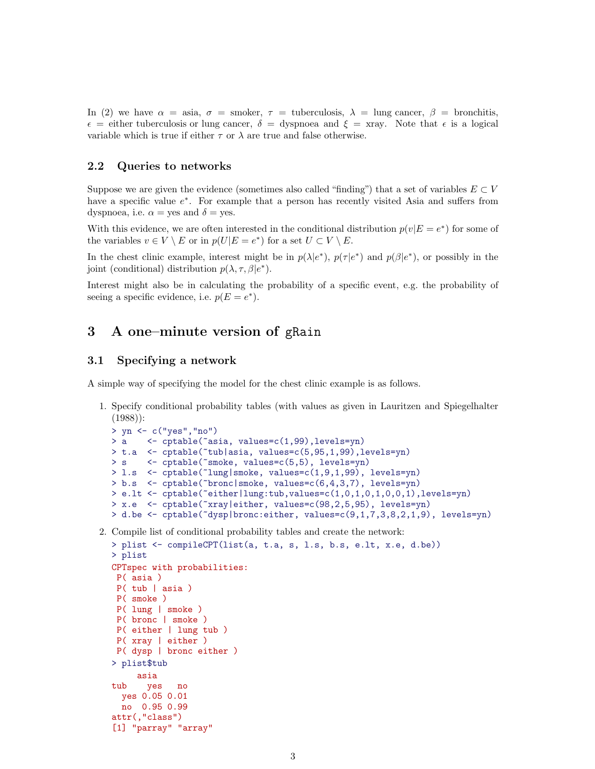In (2) we have  $\alpha = \text{asia}, \sigma = \text{smoker}, \tau = \text{tuberculos}$ ;  $\lambda = \text{lung cancer}, \beta = \text{bronchitis}$ ,  $\epsilon =$  either tuberculosis or lung cancer,  $\delta =$  dyspnoea and  $\xi =$  xray. Note that  $\epsilon$  is a logical variable which is true if either  $\tau$  or  $\lambda$  are true and false otherwise.

#### 2.2 Queries to networks

Suppose we are given the evidence (sometimes also called "finding") that a set of variables  $E \subset V$ have a specific value  $e^*$ . For example that a person has recently visited Asia and suffers from dyspnoea, i.e.  $\alpha$  = yes and  $\delta$  = yes.

With this evidence, we are often interested in the conditional distribution  $p(v|E = e^*)$  for some of the variables  $v \in V \setminus E$  or in  $p(U|E = e^*)$  for a set  $U \subset V \setminus E$ .

In the chest clinic example, interest might be in  $p(\lambda|e^*)$ ,  $p(\tau|e^*)$  and  $p(\beta|e^*)$ , or possibly in the joint (conditional) distribution  $p(\lambda, \tau, \beta | e^*)$ .

Interest might also be in calculating the probability of a specific event, e.g. the probability of seeing a specific evidence, i.e.  $p(E = e^*)$ .

## 3 A one–minute version of gRain

#### 3.1 Specifying a network

A simple way of specifying the model for the chest clinic example is as follows.

1. Specify conditional probability tables (with values as given in Lauritzen and Spiegelhalter  $(1988)$ :

```
> yn <- c("yes","no")
> a <- cptable(~asia, values=c(1,99),levels=yn)
> t.a <- cptable(~tub|asia, values=c(5,95,1,99),levels=yn)
> s <- cptable("smoke, values=c(5,5), levels=yn)
> l.s <- cptable(~lung|smoke, values=c(1,9,1,99), levels=yn)
> b.s <- cptable(~bronc|smoke, values=c(6,4,3,7), levels=yn)
> e.lt <- cptable(~either|lung:tub,values=c(1,0,1,0,1,0,0,1),levels=yn)
> x.e <- cptable(~xray|either, values=c(98,2,5,95), levels=yn)
> d.be <- cptable(~dysp|bronc:either, values=c(9,1,7,3,8,2,1,9), levels=yn)
```
2. Compile list of conditional probability tables and create the network:

```
> plist <- compileCPT(list(a, t.a, s, l.s, b.s, e.lt, x.e, d.be))
> plist
CPTspec with probabilities:
P( asia )
P( tub | asia )
P( smoke )
P( lung | smoke )
P( bronc | smoke )
P( either | lung tub )
P( xray | either )
P( dysp | bronc either )
> plist$tub
     asia
tub yes no
  yes 0.05 0.01
 no 0.95 0.99
attr(,"class")
[1] "parray" "array"
```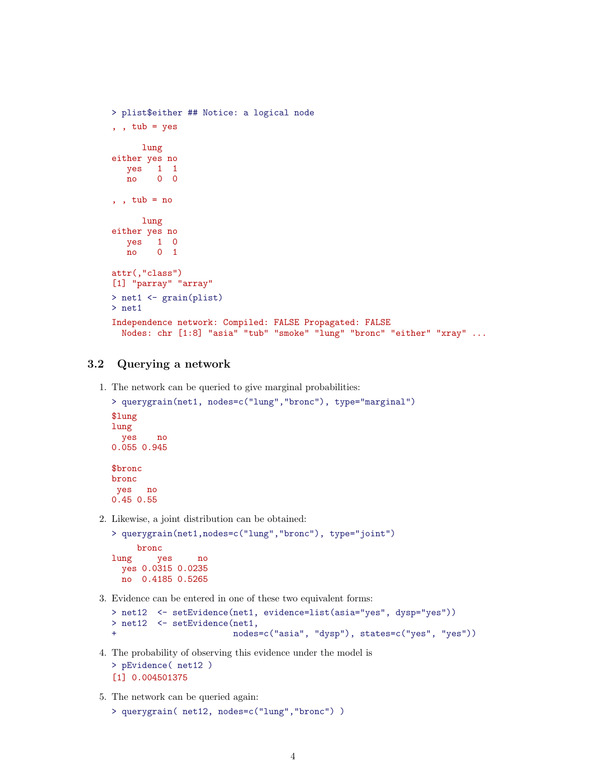```
> plist$either ## Notice: a logical node
, , tub = yeslung
either yes no
  yes 1 1
  no 0 0
, , tub = nolung
either yes no
  yes 1 0<br>no 0 1
        no 0 1
attr(,"class")
[1] "parray" "array"
> net1 <- grain(plist)
> net1
Independence network: Compiled: FALSE Propagated: FALSE
 Nodes: chr [1:8] "asia" "tub" "smoke" "lung" "bronc" "either" "xray" ...
```
### 3.2 Querying a network

1. The network can be queried to give marginal probabilities:

```
> querygrain(net1, nodes=c("lung","bronc"), type="marginal")
$lung
lung
 yes no
0.055 0.945
$bronc
bronc
yes no
0.45 0.55
```
2. Likewise, a joint distribution can be obtained:

```
> querygrain(net1,nodes=c("lung","bronc"), type="joint")
    bronc
lung yes no
 yes 0.0315 0.0235
 no 0.4185 0.5265
```
3. Evidence can be entered in one of these two equivalent forms:

```
> net12 <- setEvidence(net1, evidence=list(asia="yes", dysp="yes"))
> net12 <- setEvidence(net1,
+ nodes=c("asia", "dysp"), states=c("yes", "yes"))
```
- 4. The probability of observing this evidence under the model is > pEvidence( net12 ) [1] 0.004501375
- 5. The network can be queried again:

```
> querygrain( net12, nodes=c("lung","bronc") )
```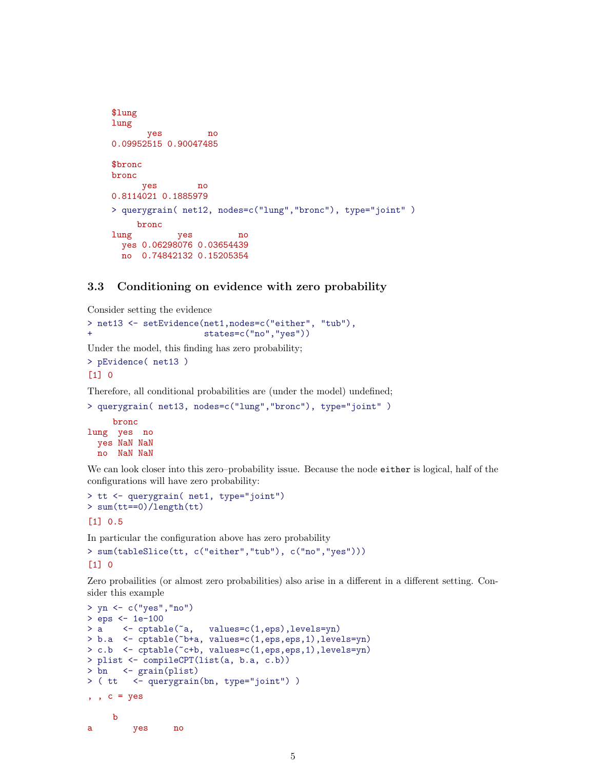```
$lung
lung
      yes no
0.09952515 0.90047485
$bronc
bronc
     yes no
0.8114021 0.1885979
> querygrain( net12, nodes=c("lung","bronc"), type="joint" )
    bronc
lung yes no
 yes 0.06298076 0.03654439
 no 0.74842132 0.15205354
```
#### 3.3 Conditioning on evidence with zero probability

Consider setting the evidence

```
> net13 <- setEvidence(net1,nodes=c("either", "tub"),
+ states=c("no","yes"))
```
Under the model, this finding has zero probability;

```
> pEvidence( net13 )
[1] 0
```
Therefore, all conditional probabilities are (under the model) undefined;

```
> querygrain( net13, nodes=c("lung","bronc"), type="joint" )
    bronc
lung yes no
 yes NaN NaN
 no NaN NaN
```
We can look closer into this zero–probability issue. Because the node either is logical, half of the configurations will have zero probability:

```
> tt <- querygrain( net1, type="joint")
> sum(tt==0)/length(tt)
[1] 0.5
```
In particular the configuration above has zero probability

> sum(tableSlice(tt, c("either","tub"), c("no","yes")))

 $[1] 0$ 

Zero probailities (or almost zero probabilities) also arise in a different in a different setting. Consider this example

```
> yn <- c("yes","no")
> eps <- 1e-100
> a <- cptable(~a, values=c(1,eps),levels=yn)
> b.a <- cptable(~b+a, values=c(1,eps,eps,1),levels=yn)
> c.b <- cptable(~c+b, values=c(1,eps,eps,1),levels=yn)
> plist <- compileCPT(list(a, b.a, c.b))
> bn <- grain(plist)
> ( tt <- querygrain(bn, type="joint") )
, , c = yesb
a yes no
```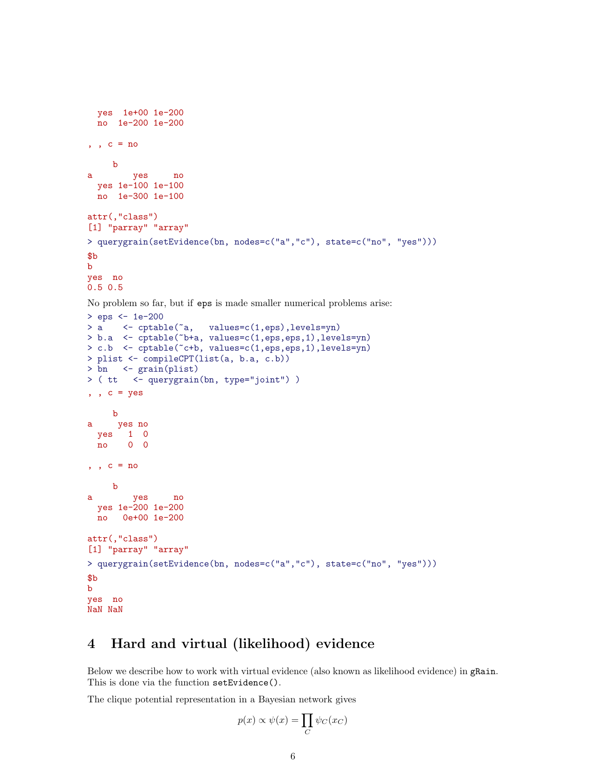```
yes 1e+00 1e-200
 no 1e-200 1e-200
, , c = nob
a yes no
 yes 1e-100 1e-100
 no 1e-300 1e-100
attr(,"class")
[1] "parray" "array"
> querygrain(setEvidence(bn, nodes=c("a","c"), state=c("no", "yes")))
$b
b
yes no
0.5 0.5
```
No problem so far, but if eps is made smaller numerical problems arise:

```
> eps <- 1e-200
> a <- cptable(~a, values=c(1,eps),levels=yn)
> b.a <- cptable(~b+a, values=c(1,eps,eps,1),levels=yn)
> c.b <- cptable(~c+b, values=c(1,eps,eps,1),levels=yn)
> plist <- compileCPT(list(a, b.a, c.b))
> bn <- grain(plist)
> ( tt <- querygrain(bn, type="joint") )
, , c = yesb
a yes no
 yes 1 0
 no 0 0
, , c = nob
a yes no
 yes 1e-200 1e-200
 no 0e+00 1e-200
attr(,"class")
[1] "parray" "array"
> querygrain(setEvidence(bn, nodes=c("a","c"), state=c("no", "yes")))
$b
b
yes no
NaN NaN
```
## 4 Hard and virtual (likelihood) evidence

Below we describe how to work with virtual evidence (also known as likelihood evidence) in gRain. This is done via the function setEvidence().

The clique potential representation in a Bayesian network gives

$$
p(x) \propto \psi(x) = \prod_C \psi_C(x_C)
$$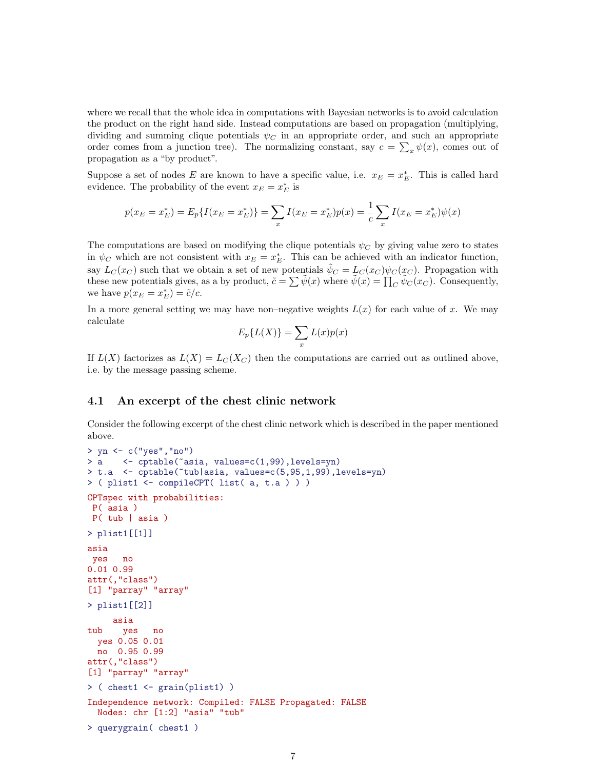where we recall that the whole idea in computations with Bayesian networks is to avoid calculation the product on the right hand side. Instead computations are based on propagation (multiplying, dividing and summing clique potentials  $\psi_C$  in an appropriate order, and such an appropriate order comes from a junction tree). The normalizing constant, say  $c = \sum_x \psi(x)$ , comes out of propagation as a "by product".

Suppose a set of nodes E are known to have a specific value, i.e.  $x_E = x_E^*$ . This is called hard evidence. The probability of the event  $x_E = x_E^*$  is

$$
p(x_E = x_E^*) = E_p\{I(x_E = x_E^*)\} = \sum_x I(x_E = x_E^*)p(x) = \frac{1}{c} \sum_x I(x_E = x_E^*)\psi(x)
$$

The computations are based on modifying the clique potentials  $\psi_C$  by giving value zero to states in  $\psi_C$  which are not consistent with  $x_E = x_E^*$ . This can be achieved with an indicator function, say  $L_C(x_C)$  such that we obtain a set of new potentials  $\tilde{\psi}_C = L_C(x_C) \psi_C(x_C)$ . Propagation with these new potentials gives, as a by product,  $\tilde{c} = \sum \tilde{\psi}(x)$  where  $\tilde{\psi}(x) = \prod_C \tilde{\psi}_C(x_C)$ . Consequently, we have  $p(x_E = x_E^*) = \tilde{c}/c$ .

In a more general setting we may have non–negative weights  $L(x)$  for each value of x. We may calculate

$$
E_p\{L(X)\} = \sum_x L(x)p(x)
$$

If  $L(X)$  factorizes as  $L(X) = L<sub>C</sub>(X<sub>C</sub>)$  then the computations are carried out as outlined above, i.e. by the message passing scheme.

#### 4.1 An excerpt of the chest clinic network

Consider the following excerpt of the chest clinic network which is described in the paper mentioned above.

```
> yn <- c("yes","no")
> a <- cptable(~asia, values=c(1,99),levels=yn)
> t.a <- cptable(~tub|asia, values=c(5,95,1,99),levels=yn)
> ( plist1 <- compileCPT( list( a, t.a ) ) )
CPTspec with probabilities:
P( asia )
P( tub | asia )
> plist1[[1]]
asia
yes no
0.01 0.99
attr(,"class")
[1] "parray" "array"
> plist1[[2]]
     asia
tub yes no
 yes 0.05 0.01
 no 0.95 0.99
attr(,"class")
[1] "parray" "array"
> ( chest1 <- grain(plist1) )
Independence network: Compiled: FALSE Propagated: FALSE
 Nodes: chr [1:2] "asia" "tub"
> querygrain( chest1 )
```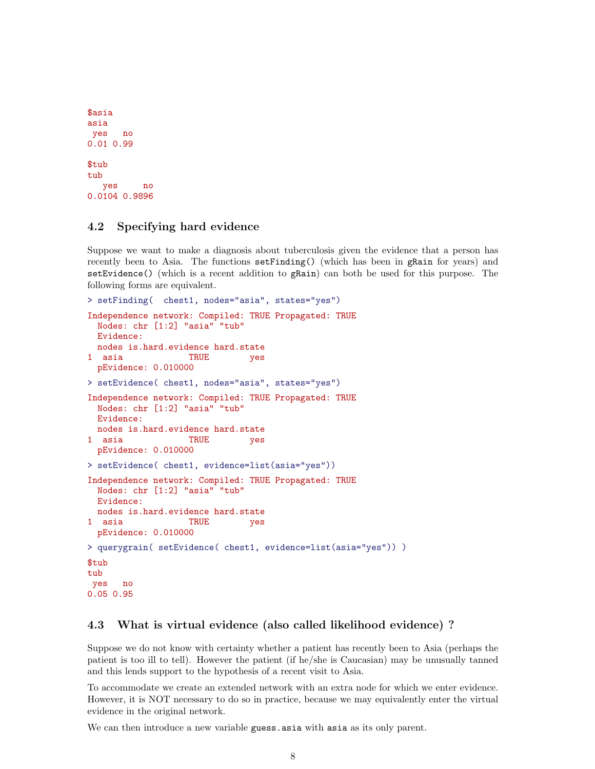```
$asia
asia
yes no
0.01 0.99
$tub
tub
  yes no
0.0104 0.9896
```
#### 4.2 Specifying hard evidence

Suppose we want to make a diagnosis about tuberculosis given the evidence that a person has recently been to Asia. The functions setFinding() (which has been in gRain for years) and setEvidence() (which is a recent addition to gRain) can both be used for this purpose. The following forms are equivalent.

```
> setFinding( chest1, nodes="asia", states="yes")
Independence network: Compiled: TRUE Propagated: TRUE
 Nodes: chr [1:2] "asia" "tub"
 Evidence:
 nodes is.hard.evidence hard.state
1 asia TRUE yes
 pEvidence: 0.010000
> setEvidence( chest1, nodes="asia", states="yes")
Independence network: Compiled: TRUE Propagated: TRUE
 Nodes: chr [1:2] "asia" "tub"
 Evidence:
 nodes is.hard.evidence hard.state
1 asia TRUE yes
 pEvidence: 0.010000
> setEvidence( chest1, evidence=list(asia="yes"))
Independence network: Compiled: TRUE Propagated: TRUE
 Nodes: chr [1:2] "asia" "tub"
 Evidence:
 nodes is.hard.evidence hard.state
1 asia TRUE yes
 pEvidence: 0.010000
> querygrain( setEvidence( chest1, evidence=list(asia="yes")) )
$tub
tub
yes no
0.05 0.95
```
#### 4.3 What is virtual evidence (also called likelihood evidence) ?

Suppose we do not know with certainty whether a patient has recently been to Asia (perhaps the patient is too ill to tell). However the patient (if he/she is Caucasian) may be unusually tanned and this lends support to the hypothesis of a recent visit to Asia.

To accommodate we create an extended network with an extra node for which we enter evidence. However, it is NOT necessary to do so in practice, because we may equivalently enter the virtual evidence in the original network.

We can then introduce a new variable guess asia with asia as its only parent.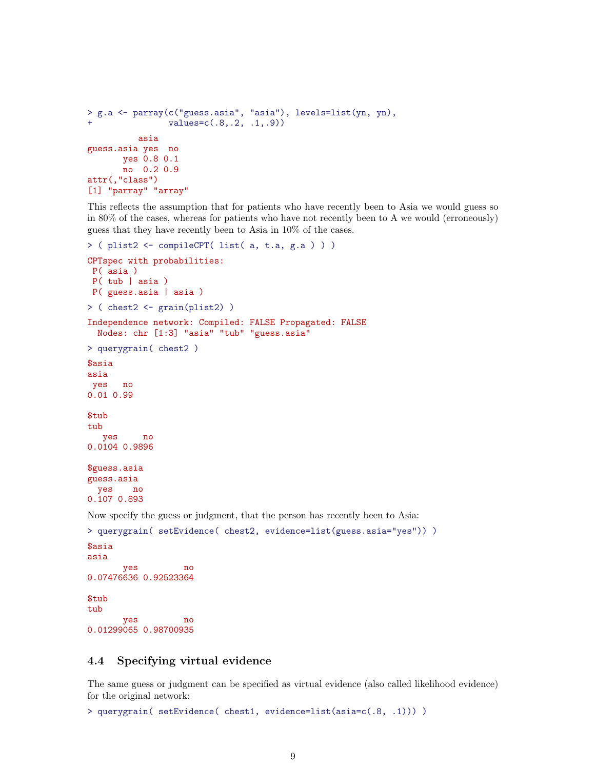```
> g.a <- parray(c("guess.asia", "asia"), levels=list(yn, yn),
                values=c(.8,.2, .1,.9))asia
guess.asia yes no
      yes 0.8 0.1
      no 0.2 0.9
attr(,"class")
[1] "parray" "array"
```
This reflects the assumption that for patients who have recently been to Asia we would guess so in 80% of the cases, whereas for patients who have not recently been to A we would (erroneously) guess that they have recently been to Asia in 10% of the cases.

```
> ( plist2 <- compileCPT( list( a, t.a, g.a ) ) )
CPTspec with probabilities:
P( asia )
P( tub | asia )
P( guess.asia | asia )
> ( chest2 <- grain(plist2) )
Independence network: Compiled: FALSE Propagated: FALSE
 Nodes: chr [1:3] "asia" "tub" "guess.asia"
> querygrain( chest2 )
$asia
asia
yes no
0.01 0.99
$tub
tub
  yes no
0.0104 0.9896
$guess.asia
guess.asia
 yes no
0.107 0.893
Now specify the guess or judgment, that the person has recently been to Asia:
> querygrain( setEvidence( chest2, evidence=list(guess.asia="yes")) )
$asia
asia
       yes no
0.07476636 0.92523364
```
\$tub tub yes no 0.01299065 0.98700935

#### 4.4 Specifying virtual evidence

The same guess or judgment can be specified as virtual evidence (also called likelihood evidence) for the original network:

> querygrain( setEvidence( chest1, evidence=list(asia=c(.8, .1))) )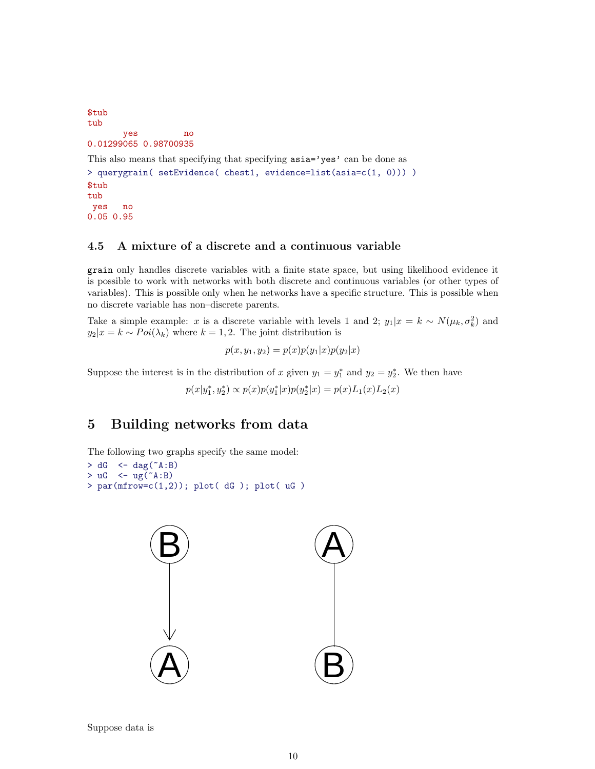```
$tub
tub
       yes no
0.01299065 0.98700935
This also means that specifying that specifying \texttt{asia='yes'} can be done as
> querygrain( setEvidence( chest1, evidence=list(asia=c(1, 0))) )
$tub
tub
yes no
```
## 0.05 0.95

### 4.5 A mixture of a discrete and a continuous variable

grain only handles discrete variables with a finite state space, but using likelihood evidence it is possible to work with networks with both discrete and continuous variables (or other types of variables). This is possible only when he networks have a specific structure. This is possible when no discrete variable has non–discrete parents.

Take a simple example: x is a discrete variable with levels 1 and 2;  $y_1|x = k \sim N(\mu_k, \sigma_k^2)$  and  $y_2|x = k \sim Poi(\lambda_k)$  where  $k = 1, 2$ . The joint distribution is

 $p(x, y_1, y_2) = p(x)p(y_1|x)p(y_2|x)$ 

Suppose the interest is in the distribution of x given  $y_1 = y_1^*$  and  $y_2 = y_2^*$ . We then have

 $p(x|y_1^*, y_2^*) \propto p(x)p(y_1^*|x)p(y_2^*|x) = p(x)L_1(x)L_2(x)$ 

# 5 Building networks from data

The following two graphs specify the same model:

```
> dG < - dag("A:B)> uG < - ug( ^*A:B)> par(mfrow=c(1,2)); plot( dG ); plot( uG )
```


Suppose data is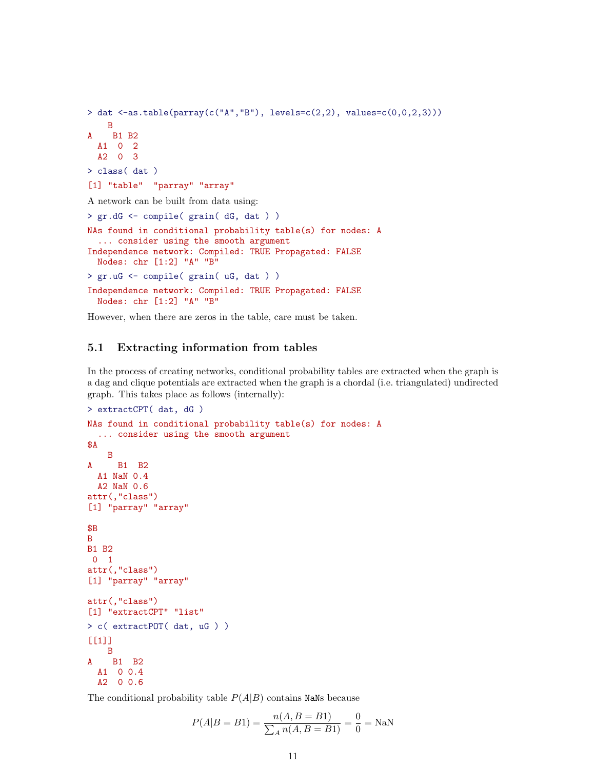```
> dat <-as.table(parray(c("A","B"), levels=c(2,2), values=c(0,0,2,3)))
   B
A B1 B2
 A1 0 2
 A2 0 3
> class( dat )
[1] "table" "parray" "array"
A network can be built from data using:
> gr.dG <- compile( grain( dG, dat ) )
NAs found in conditional probability table(s) for nodes: A
  ... consider using the smooth argument
Independence network: Compiled: TRUE Propagated: FALSE
 Nodes: chr [1:2] "A" "B"
> gr.uG <- compile( grain( uG, dat ) )
Independence network: Compiled: TRUE Propagated: FALSE
 Nodes: chr [1:2] "A" "B"
```
However, when there are zeros in the table, care must be taken.

#### 5.1 Extracting information from tables

In the process of creating networks, conditional probability tables are extracted when the graph is a dag and clique potentials are extracted when the graph is a chordal (i.e. triangulated) undirected graph. This takes place as follows (internally):

```
> extractCPT( dat, dG )
NAs found in conditional probability table(s) for nodes: A
  ... consider using the smooth argument
$A
   B
A B1 B2
 A1 NaN 0.4
 A2 NaN 0.6
attr(,"class")
[1] "parray" "array"
$B
B
B1 B2
0 1
attr(,"class")
[1] "parray" "array"
attr(,"class")
[1] "extractCPT" "list"
> c( extractPOT( dat, uG ) )
[[1]]
   B
A B1 B2
 A1 0 0.4
 A2 0 0.6
```
The conditional probability table  $P(A|B)$  contains NaNs because

$$
P(A|B = B1) = \frac{n(A, B = B1)}{\sum_{A} n(A, B = B1)} = \frac{0}{0} = \text{NaN}
$$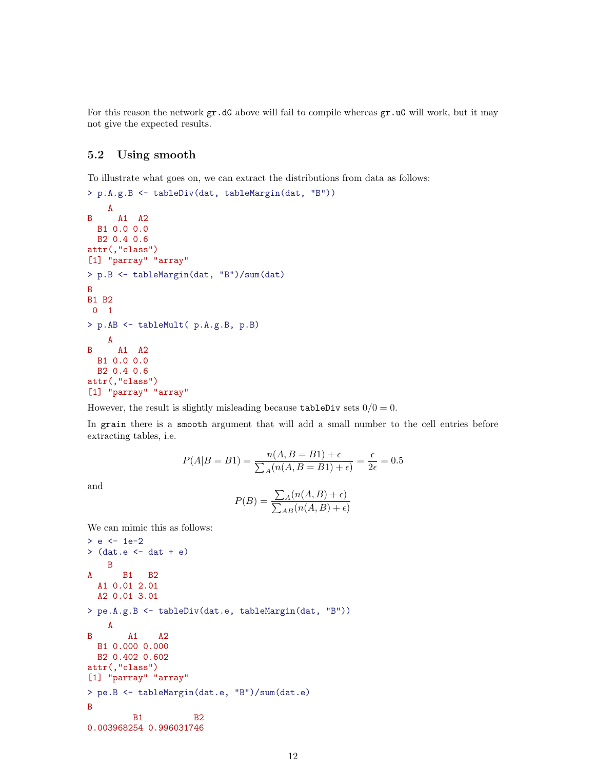For this reason the network  $gr.dG$  above will fail to compile whereas  $gr.uG$  will work, but it may not give the expected results.

### 5.2 Using smooth

To illustrate what goes on, we can extract the distributions from data as follows:

```
> p.A.g.B <- tableDiv(dat, tableMargin(dat, "B"))
    A
B A1 A2
 B1 0.0 0.0
 B2 0.4 0.6
attr(,"class")
[1] "parray" "array"
> p.B <- tableMargin(dat, "B")/sum(dat)
B
B1 B2
0 1
> p.AB <- tableMult( p.A.g.B, p.B)
   A
B A1 A2
 B1 0.0 0.0
 B2 0.4 0.6
attr(,"class")
[1] "parray" "array"
```
However, the result is slightly misleading because tableDiv sets  $0/0 = 0$ .

In grain there is a smooth argument that will add a small number to the cell entries before extracting tables, i.e.

$$
P(A|B = B1) = \frac{n(A, B = B1) + \epsilon}{\sum_{A} (n(A, B = B1) + \epsilon)} = \frac{\epsilon}{2\epsilon} = 0.5
$$

and

$$
P(B) = \frac{\sum_{A} (n(A, B) + \epsilon)}{\sum_{AB} (n(A, B) + \epsilon)}
$$

We can mimic this as follows:

```
> e < -1e-2> (dat.e <- dat + e)
   B
A B1 B2
 A1 0.01 2.01
 A2 0.01 3.01
> pe.A.g.B <- tableDiv(dat.e, tableMargin(dat, "B"))
   A
B A1 A2
 B1 0.000 0.000
 B2 0.402 0.602
attr(,"class")
[1] "parray" "array"
> pe.B <- tableMargin(dat.e, "B")/sum(dat.e)
B
        B1 B2
0.003968254 0.996031746
```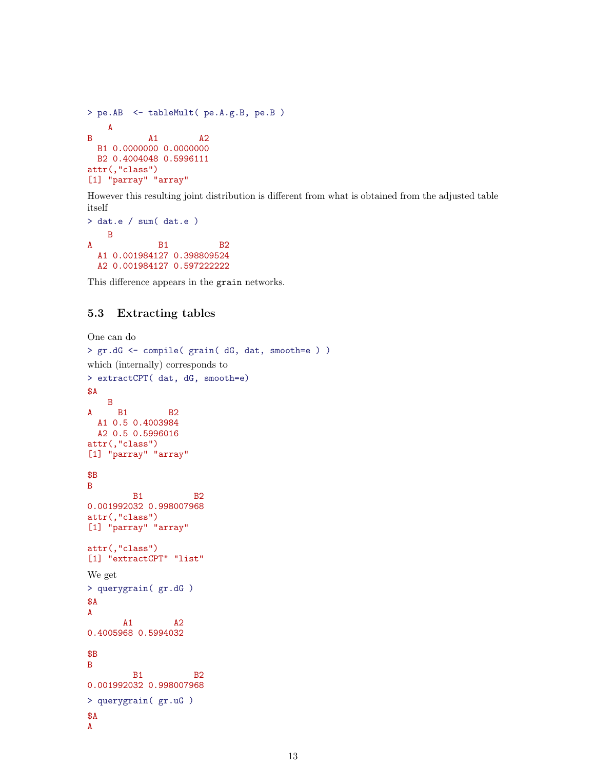```
> pe.AB <- tableMult( pe.A.g.B, pe.B )
   A
B A1 A2
 B1 0.0000000 0.0000000
 B2 0.4004048 0.5996111
attr(,"class")
[1] "parray" "array"
```
However this resulting joint distribution is different from what is obtained from the adjusted table itself

```
> dat.e / sum( dat.e )
   B
A B1 B2
 A1 0.001984127 0.398809524
 A2 0.001984127 0.597222222
```
This difference appears in the grain networks.

### 5.3 Extracting tables

```
One can do
> gr.dG <- compile( grain( dG, dat, smooth=e ) )
which (internally) corresponds to
> extractCPT( dat, dG, smooth=e)
$A
   B
A B1 B2
 A1 0.5 0.4003984
 A2 0.5 0.5996016
attr(,"class")
[1] "parray" "array"
$B
B
        B1 B2
0.001992032 0.998007968
attr(,"class")
[1] "parray" "array"
attr(,"class")
[1] "extractCPT" "list"
We get
> querygrain( gr.dG )
$A
A
       A1 A2
0.4005968 0.5994032
$B
B
        B<sub>1</sub> B<sub>2</sub>
0.001992032 0.998007968
> querygrain( gr.uG )
$A
A
```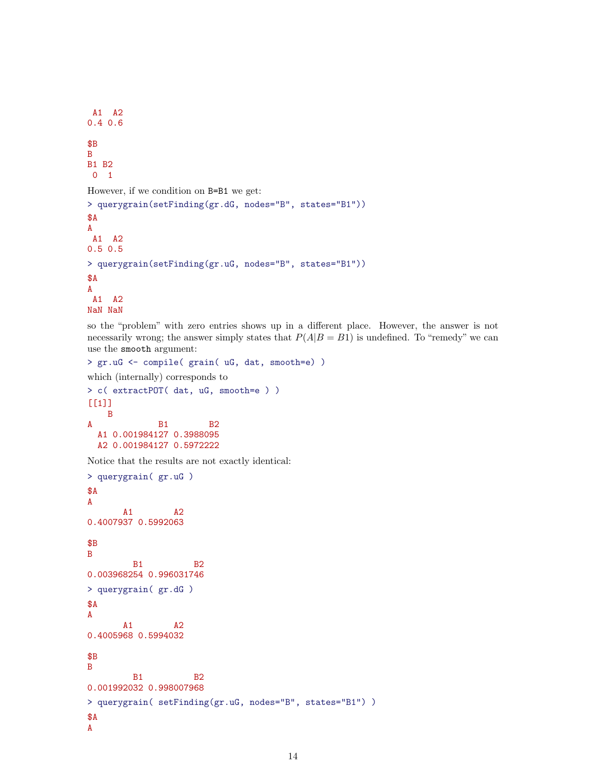```
A1 A2
0.4 0.6
$B
B
B1 B2
0 1
However, if we condition on B=B1 we get:
> querygrain(setFinding(gr.dG, nodes="B", states="B1"))
$A
A
A1 A2
0.5 0.5
> querygrain(setFinding(gr.uG, nodes="B", states="B1"))
$A
A
A1 A2
NaN NaN
```
so the "problem" with zero entries shows up in a different place. However, the answer is not necessarily wrong; the answer simply states that  $P(A|B = B1)$  is undefined. To "remedy" we can use the smooth argument:

```
> gr.uG <- compile( grain( uG, dat, smooth=e) )
which (internally) corresponds to
> c( extractPOT( dat, uG, smooth=e ) )
[[1]]
   B
A B1 B2
 A1 0.001984127 0.3988095
 A2 0.001984127 0.5972222
```
Notice that the results are not exactly identical:

```
> querygrain( gr.uG )
$A
A
      A1 A2
0.4007937 0.5992063
$B
B
        B1 B2
0.003968254 0.996031746
> querygrain( gr.dG )
$A
A
      A1 A2
0.4005968 0.5994032
$B
B
        B1 B2
0.001992032 0.998007968
> querygrain( setFinding(gr.uG, nodes="B", states="B1") )
$A
A
```